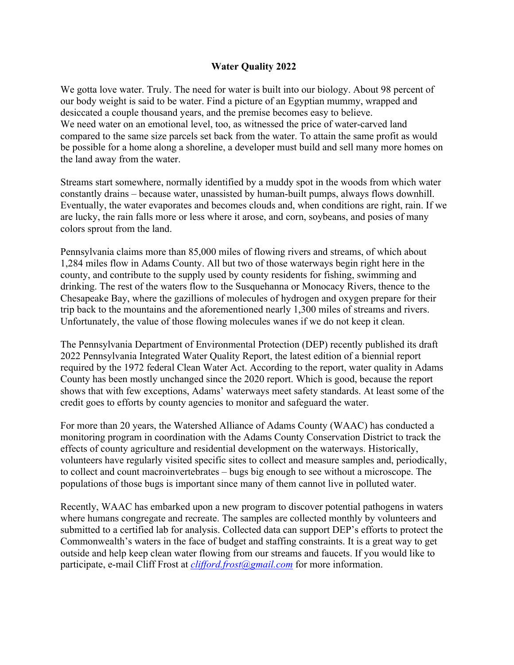## **Water Quality 2022**

We gotta love water. Truly. The need for water is built into our biology. About 98 percent of our body weight is said to be water. Find a picture of an Egyptian mummy, wrapped and desiccated a couple thousand years, and the premise becomes easy to believe. We need water on an emotional level, too, as witnessed the price of water-carved land compared to the same size parcels set back from the water. To attain the same profit as would be possible for a home along a shoreline, a developer must build and sell many more homes on the land away from the water.

Streams start somewhere, normally identified by a muddy spot in the woods from which water constantly drains – because water, unassisted by human-built pumps, always flows downhill. Eventually, the water evaporates and becomes clouds and, when conditions are right, rain. If we are lucky, the rain falls more or less where it arose, and corn, soybeans, and posies of many colors sprout from the land.

Pennsylvania claims more than 85,000 miles of flowing rivers and streams, of which about 1,284 miles flow in Adams County. All but two of those waterways begin right here in the county, and contribute to the supply used by county residents for fishing, swimming and drinking. The rest of the waters flow to the Susquehanna or Monocacy Rivers, thence to the Chesapeake Bay, where the gazillions of molecules of hydrogen and oxygen prepare for their trip back to the mountains and the aforementioned nearly 1,300 miles of streams and rivers. Unfortunately, the value of those flowing molecules wanes if we do not keep it clean.

The Pennsylvania Department of Environmental Protection (DEP) recently published its draft 2022 Pennsylvania Integrated Water Quality Report, the latest edition of a biennial report required by the 1972 federal Clean Water Act. According to the report, water quality in Adams County has been mostly unchanged since the 2020 report. Which is good, because the report shows that with few exceptions, Adams' waterways meet safety standards. At least some of the credit goes to efforts by county agencies to monitor and safeguard the water.

For more than 20 years, the Watershed Alliance of Adams County (WAAC) has conducted a monitoring program in coordination with the Adams County Conservation District to track the effects of county agriculture and residential development on the waterways. Historically, volunteers have regularly visited specific sites to collect and measure samples and, periodically, to collect and count macroinvertebrates – bugs big enough to see without a microscope. The populations of those bugs is important since many of them cannot live in polluted water.

Recently, WAAC has embarked upon a new program to discover potential pathogens in waters where humans congregate and recreate. The samples are collected monthly by volunteers and submitted to a certified lab for analysis. Collected data can support DEP's efforts to protect the Commonwealth's waters in the face of budget and staffing constraints. It is a great way to get outside and help keep clean water flowing from our streams and faucets. If you would like to participate, e-mail Cliff Frost at *clifford.frost@gmail.com* for more information.